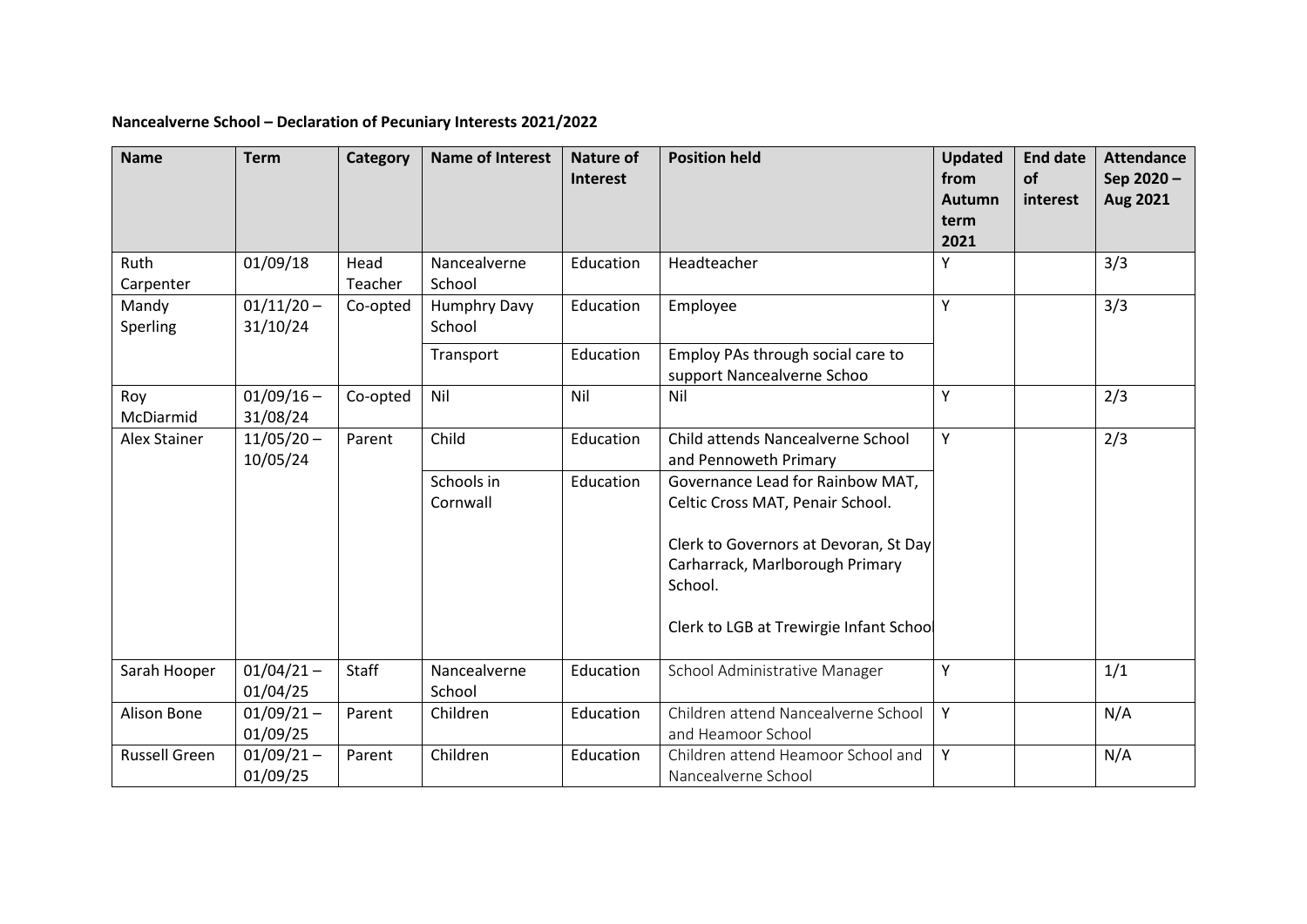## **Nancealverne School – Declaration of Pecuniary Interests 2021/2022**

| <b>Name</b>          | <b>Term</b>              | <b>Category</b> | <b>Name of Interest</b> | <b>Nature of</b> | <b>Position held</b>                                                 | <b>Updated</b><br>from | <b>End date</b><br>of | <b>Attendance</b>     |
|----------------------|--------------------------|-----------------|-------------------------|------------------|----------------------------------------------------------------------|------------------------|-----------------------|-----------------------|
|                      |                          |                 |                         | Interest         |                                                                      | <b>Autumn</b>          | interest              | Sep 2020-<br>Aug 2021 |
|                      |                          |                 |                         |                  |                                                                      | term                   |                       |                       |
|                      |                          |                 |                         |                  |                                                                      | 2021                   |                       |                       |
| Ruth<br>Carpenter    | 01/09/18                 | Head<br>Teacher | Nancealverne<br>School  | Education        | Headteacher                                                          | Y                      |                       | 3/3                   |
| Mandy<br>Sperling    | $01/11/20 -$<br>31/10/24 | Co-opted        | Humphry Davy<br>School  | Education        | Employee                                                             | Y                      |                       | 3/3                   |
|                      |                          |                 | Transport               | Education        | Employ PAs through social care to<br>support Nancealverne Schoo      |                        |                       |                       |
| Roy<br>McDiarmid     | $01/09/16 -$<br>31/08/24 | Co-opted        | Nil                     | Nil              | Nil                                                                  | Y                      |                       | 2/3                   |
| <b>Alex Stainer</b>  | $11/05/20 -$<br>10/05/24 | Parent          | Child                   | Education        | Child attends Nancealverne School<br>and Pennoweth Primary           | $\mathsf{Y}$           |                       | 2/3                   |
|                      |                          |                 | Schools in<br>Cornwall  | Education        | Governance Lead for Rainbow MAT,<br>Celtic Cross MAT, Penair School. |                        |                       |                       |
|                      |                          |                 |                         |                  | Clerk to Governors at Devoran, St Day                                |                        |                       |                       |
|                      |                          |                 |                         |                  | Carharrack, Marlborough Primary<br>School.                           |                        |                       |                       |
|                      |                          |                 |                         |                  | Clerk to LGB at Trewirgie Infant School                              |                        |                       |                       |
| Sarah Hooper         | $01/04/21 -$<br>01/04/25 | Staff           | Nancealverne<br>School  | Education        | School Administrative Manager                                        | Y                      |                       | 1/1                   |
| Alison Bone          | $01/09/21 -$<br>01/09/25 | Parent          | Children                | Education        | Children attend Nancealverne School<br>and Heamoor School            | Y                      |                       | N/A                   |
| <b>Russell Green</b> | $01/09/21 -$<br>01/09/25 | Parent          | Children                | Education        | Children attend Heamoor School and<br>Nancealverne School            | Y                      |                       | N/A                   |